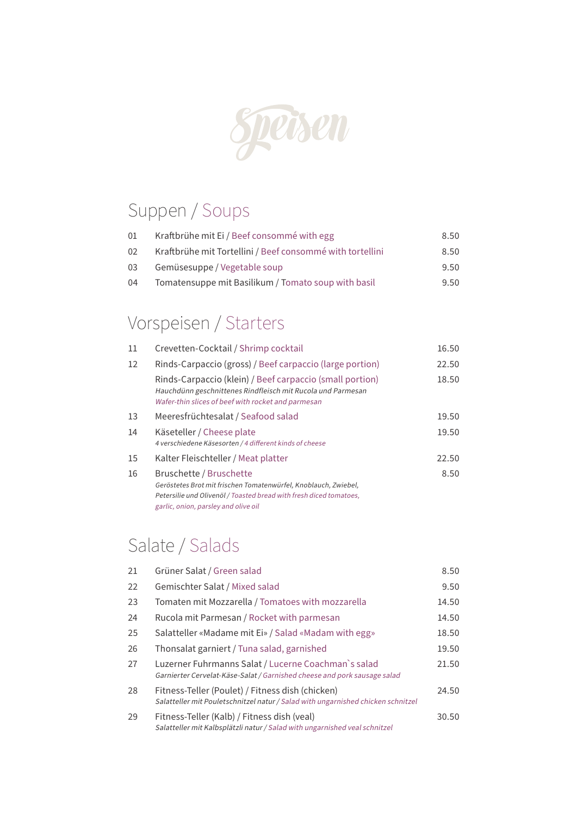

## Suppen / Soups

| 01 | Kraftbrühe mit Ei / Beef consommé with egg                | 8.50 |
|----|-----------------------------------------------------------|------|
| 02 | Kraftbrühe mit Tortellini / Beef consommé with tortellini | 8.50 |
| 03 | Gemüsesuppe / Vegetable soup                              | 9.50 |
| 04 | Tomatensuppe mit Basilikum / Tomato soup with basil       | 9.50 |

## Vorspeisen / Starters

| 11 | Crevetten-Cocktail / Shrimp cocktail                                                                                                                                                                     | 16.50 |
|----|----------------------------------------------------------------------------------------------------------------------------------------------------------------------------------------------------------|-------|
| 12 | Rinds-Carpaccio (gross) / Beef carpaccio (large portion)                                                                                                                                                 | 22.50 |
|    | Rinds-Carpaccio (klein) / Beef carpaccio (small portion)<br>Hauchdünn geschnittenes Rindfleisch mit Rucola und Parmesan<br>Wafer-thin slices of beef with rocket and parmesan                            | 18.50 |
| 13 | Meeresfrüchtesalat / Seafood salad                                                                                                                                                                       | 19.50 |
| 14 | Käseteller / Cheese plate<br>4 verschiedene Käsesorten / 4 different kinds of cheese                                                                                                                     | 19.50 |
| 15 | Kalter Fleischteller / Meat platter                                                                                                                                                                      | 22.50 |
| 16 | Bruschette / Bruschette<br>Geröstetes Brot mit frischen Tomatenwürfel, Knoblauch, Zwiebel,<br>Petersilie und Olivenöl / Toasted bread with fresh diced tomatoes,<br>garlic, onion, parsley and olive oil | 8.50  |

## Salate / Salads

| 21 | Grüner Salat / Green salad                                                                                                           | 8.50  |
|----|--------------------------------------------------------------------------------------------------------------------------------------|-------|
| 22 | Gemischter Salat / Mixed salad                                                                                                       | 9.50  |
| 23 | Tomaten mit Mozzarella / Tomatoes with mozzarella                                                                                    | 14.50 |
| 24 | Rucola mit Parmesan / Rocket with parmesan                                                                                           | 14.50 |
| 25 | Salatteller «Madame mit Ei» / Salad «Madam with egg»                                                                                 | 18.50 |
| 26 | Thonsalat garniert / Tuna salad, garnished                                                                                           | 19.50 |
| 27 | Luzerner Fuhrmanns Salat / Lucerne Coachman's salad<br>Garnierter Cervelat-Käse-Salat / Garnished cheese and pork sausage salad      | 21.50 |
| 28 | Fitness-Teller (Poulet) / Fitness dish (chicken)<br>Salatteller mit Pouletschnitzel natur / Salad with ungarnished chicken schnitzel | 24.50 |
| 29 | Fitness-Teller (Kalb) / Fitness dish (veal)<br>Salatteller mit Kalbsplätzli natur / Salad with ungarnished veal schnitzel            | 30.50 |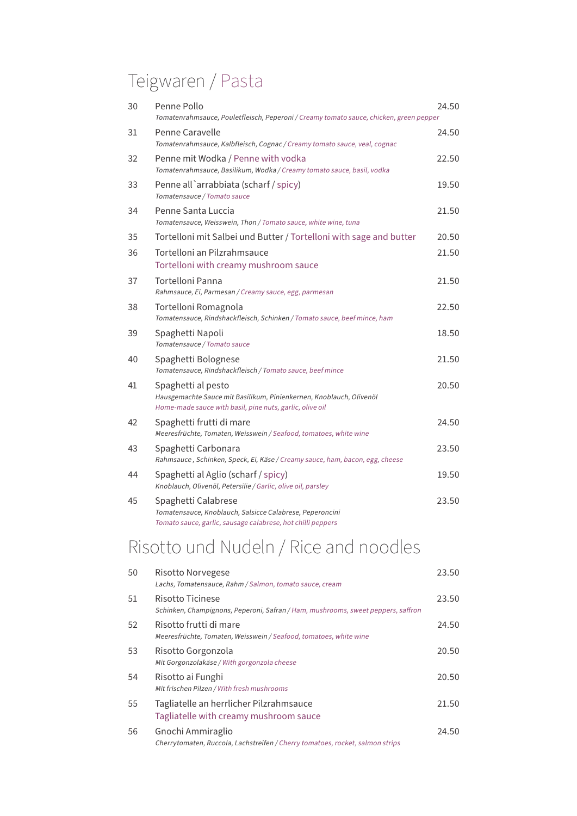# Teigwaren / Pasta

| 30 | Penne Pollo<br>Tomatenrahmsauce, Pouletfleisch, Peperoni / Creamy tomato sauce, chicken, green pepper                                                 | 24.50 |
|----|-------------------------------------------------------------------------------------------------------------------------------------------------------|-------|
| 31 | Penne Caravelle<br>Tomatenrahmsauce, Kalbfleisch, Cognac / Creamy tomato sauce, veal, cognac                                                          | 24.50 |
| 32 | Penne mit Wodka / Penne with vodka<br>Tomatenrahmsauce, Basilikum, Wodka / Creamy tomato sauce, basil, vodka                                          | 22.50 |
| 33 | Penne all `arrabbiata (scharf / spicy)<br>Tomatensauce / Tomato sauce                                                                                 | 19.50 |
| 34 | Penne Santa Luccia<br>Tomatensauce, Weisswein, Thon / Tomato sauce, white wine, tuna                                                                  | 21.50 |
| 35 | Tortelloni mit Salbei und Butter / Tortelloni with sage and butter                                                                                    | 20.50 |
| 36 | Tortelloni an Pilzrahmsauce<br>Tortelloni with creamy mushroom sauce                                                                                  | 21.50 |
| 37 | Tortelloni Panna<br>Rahmsauce, Ei, Parmesan / Creamy sauce, egg, parmesan                                                                             | 21.50 |
| 38 | Tortelloni Romagnola<br>Tomatensauce, Rindshackfleisch, Schinken / Tomato sauce, beef mince, ham                                                      | 22.50 |
| 39 | Spaghetti Napoli<br>Tomatensauce / Tomato sauce                                                                                                       | 18.50 |
| 40 | Spaghetti Bolognese<br>Tomatensauce, Rindshackfleisch / Tomato sauce, beef mince                                                                      | 21.50 |
| 41 | Spaghetti al pesto<br>Hausgemachte Sauce mit Basilikum, Pinienkernen, Knoblauch, Olivenöl<br>Home-made sauce with basil, pine nuts, garlic, olive oil | 20.50 |
| 42 | Spaghetti frutti di mare<br>Meeresfrüchte, Tomaten, Weisswein / Seafood, tomatoes, white wine                                                         | 24.50 |
| 43 | Spaghetti Carbonara<br>Rahmsauce, Schinken, Speck, Ei, Käse / Creamy sauce, ham, bacon, egg, cheese                                                   | 23.50 |
| 44 | Spaghetti al Aglio (scharf / spicy)<br>Knoblauch, Olivenöl, Petersilie / Garlic, olive oil, parsley                                                   | 19.50 |
| 45 | Spaghetti Calabrese<br>Tomatensauce, Knoblauch, Salsicce Calabrese, Peperoncini<br>Tomato sauce, garlic, sausage calabrese, hot chilli peppers        | 23.50 |

# Risotto und Nudeln / Rice and noodles

| 50 | Risotto Norvegese<br>Lachs, Tomatensauce, Rahm / Salmon, tomato sauce, cream                         | 23.50 |
|----|------------------------------------------------------------------------------------------------------|-------|
| 51 | Risotto Ticinese<br>Schinken, Champignons, Peperoni, Safran / Ham, mushrooms, sweet peppers, saffron | 23.50 |
| 52 | Risotto frutti di mare<br>Meeresfrüchte, Tomaten, Weisswein / Seafood, tomatoes, white wine          | 24.50 |
| 53 | Risotto Gorgonzola<br>Mit Gorgonzolakäse / With gorgonzola cheese                                    | 20.50 |
| 54 | Risotto ai Funghi<br>Mit frischen Pilzen / With fresh mushrooms                                      | 20.50 |
| 55 | Tagliatelle an herrlicher Pilzrahmsauce<br>Tagliatelle with creamy mushroom sauce                    | 21.50 |
| 56 | Gnochi Ammiraglio<br>Cherrytomaten, Ruccola, Lachstreifen / Cherry tomatoes, rocket, salmon strips   | 24.50 |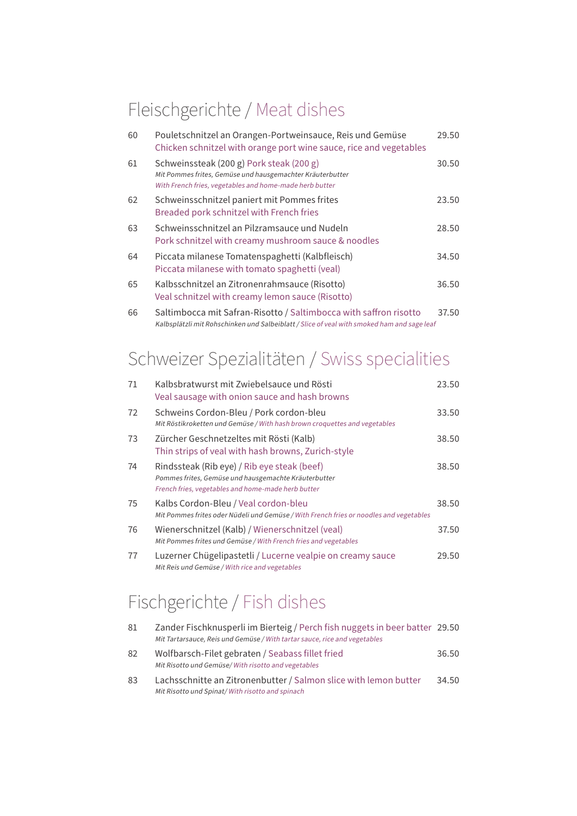### Fleischgerichte / Meat dishes

| 60 | Pouletschnitzel an Orangen-Portweinsauce, Reis und Gemüse<br>Chicken schnitzel with orange port wine sauce, rice and vegetables                                  | 29.50 |
|----|------------------------------------------------------------------------------------------------------------------------------------------------------------------|-------|
| 61 | Schweinssteak (200 g) Pork steak (200 g)<br>Mit Pommes frites, Gemüse und hausgemachter Kräuterbutter<br>With French fries, vegetables and home-made herb butter | 30.50 |
| 62 | Schweinsschnitzel paniert mit Pommes frites<br>Breaded pork schnitzel with French fries                                                                          | 23.50 |
| 63 | Schweinsschnitzel an Pilzramsauce und Nudeln<br>Pork schnitzel with creamy mushroom sauce & noodles                                                              | 28.50 |
| 64 | Piccata milanese Tomatenspaghetti (Kalbfleisch)<br>Piccata milanese with tomato spaghetti (veal)                                                                 | 34.50 |
| 65 | Kalbsschnitzel an Zitronenrahmsauce (Risotto)<br>Veal schnitzel with creamy lemon sauce (Risotto)                                                                | 36.50 |
| 66 | Saltimbocca mit Safran-Risotto / Saltimbocca with saffron risotto                                                                                                | 37.50 |

Kalbsplätzli mit Rohschinken und Salbeiblatt / Slice of veal with smoked ham and sage leaf

## Schweizer Spezialitäten / Swiss specialities

| 71 | Kalbsbratwurst mit Zwiebelsauce und Rösti<br>Veal sausage with onion sauce and hash browns                                                                | 23.50 |
|----|-----------------------------------------------------------------------------------------------------------------------------------------------------------|-------|
| 72 | Schweins Cordon-Bleu / Pork cordon-bleu<br>Mit Röstikroketten und Gemüse / With hash brown croquettes and vegetables                                      | 33.50 |
| 73 | Zürcher Geschnetzeltes mit Rösti (Kalb)<br>Thin strips of yeal with hash browns, Zurich-style                                                             | 38.50 |
| 74 | Rindssteak (Rib eye) / Rib eye steak (beef)<br>Pommes frites, Gemüse und hausgemachte Kräuterbutter<br>French fries, vegetables and home-made herb butter | 38.50 |
| 75 | Kalbs Cordon-Bleu / Veal cordon-bleu<br>Mit Pommes frites oder Nüdeli und Gemüse / With French fries or noodles and vegetables                            | 38.50 |
| 76 | Wienerschnitzel (Kalb) / Wienerschnitzel (veal)<br>Mit Pommes frites und Gemüse / With French fries and vegetables                                        | 37.50 |
| 77 | Luzerner Chügelipastetli / Lucerne vealpie on creamy sauce<br>Mit Reis und Gemüse / With rice and vegetables                                              | 29.50 |

## Fischgerichte / Fish dishes

| 81 | Zander Fischknusperli im Bierteig / Perch fish nuggets in beer batter 29.50<br>Mit Tartarsauce, Reis und Gemüse / With tartar sauce, rice and vegetables |       |
|----|----------------------------------------------------------------------------------------------------------------------------------------------------------|-------|
| 82 | Wolfbarsch-Filet gebraten / Seabass fillet fried<br>Mit Risotto und Gemüse/ With risotto and vegetables                                                  | 36.50 |
| 83 | Lachsschnitte an Zitronenbutter / Salmon slice with lemon butter<br>Mit Risotto und Spinat/With risotto and spinach                                      | 34.50 |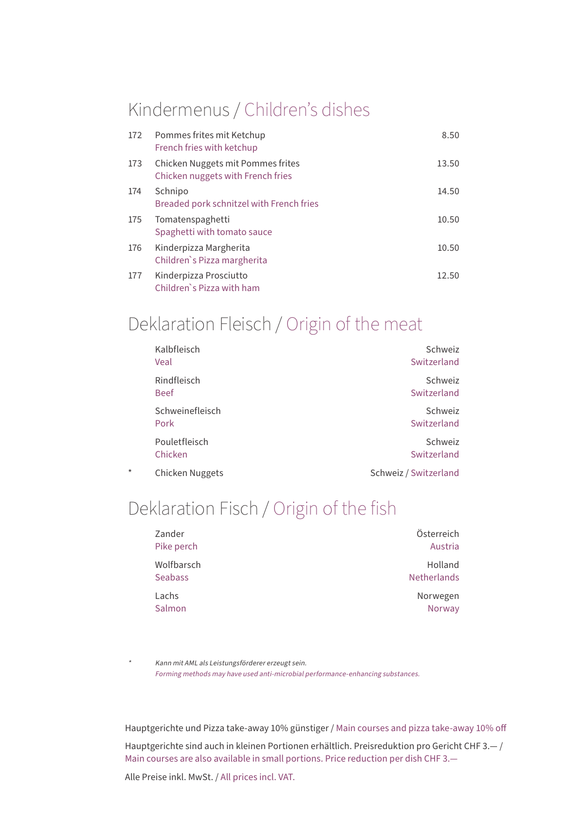#### Kindermenus / Children's dishes

| 172 | Pommes frites mit Ketchup<br>French fries with ketchup                 | 8.50  |
|-----|------------------------------------------------------------------------|-------|
| 173 | Chicken Nuggets mit Pommes frites<br>Chicken nuggets with French fries | 13.50 |
| 174 | Schnipo<br>Breaded pork schnitzel with French fries                    | 14.50 |
| 175 | Tomatenspaghetti<br>Spaghetti with tomato sauce                        | 10.50 |
| 176 | Kinderpizza Margherita<br>Children's Pizza margherita                  | 10.50 |
| 177 | Kinderpizza Prosciutto<br>Children's Pizza with ham                    | 12.50 |

### Deklaration Fleisch / Origin of the meat

|         | Kalbfleisch<br>Veal        | Schweiz<br>Switzerland |
|---------|----------------------------|------------------------|
|         | Rindfleisch<br><b>Beef</b> | Schweiz<br>Switzerland |
|         | Schweinefleisch<br>Pork    | Schweiz<br>Switzerland |
|         | Pouletfleisch<br>Chicken   | Schweiz<br>Switzerland |
| $\star$ | Chicken Nuggets            | Schweiz / Switzerland  |

#### Deklaration Fisch / Origin of the fish

| Zander         | Österreich         |
|----------------|--------------------|
| Pike perch     | Austria            |
| Wolfbarsch     | Holland            |
| <b>Seabass</b> | <b>Netherlands</b> |
| Lachs          | Norwegen           |
| Salmon         | Norway             |

 Kann mit AML als Leistungsförderer erzeugt sein. Forming methods may have used anti-microbial performance-enhancing substances.

Hauptgerichte und Pizza take-away 10% günstiger / Main courses and pizza take-away 10% off

Hauptgerichte sind auch in kleinen Portionen erhältlich. Preisreduktion pro Gericht CHF 3.— / Main courses are also available in small portions. Price reduction per dish CHF 3.—

Alle Preise inkl. MwSt. / All prices incl. VAT.

\*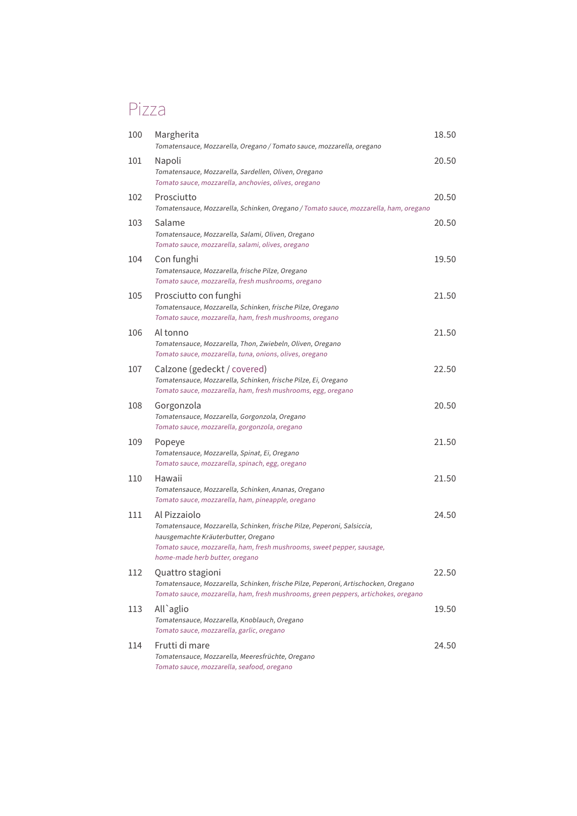### Pizza

| 100 | Margherita<br>Tomatensauce, Mozzarella, Oregano / Tomato sauce, mozzarella, oregano                                                                                                                                                        | 18.50 |
|-----|--------------------------------------------------------------------------------------------------------------------------------------------------------------------------------------------------------------------------------------------|-------|
| 101 | Napoli<br>Tomatensauce, Mozzarella, Sardellen, Oliven, Oregano<br>Tomato sauce, mozzarella, anchovies, olives, oregano                                                                                                                     | 20.50 |
| 102 | Prosciutto<br>Tomatensauce, Mozzarella, Schinken, Oregano / Tomato sauce, mozzarella, ham, oregano                                                                                                                                         | 20.50 |
| 103 | Salame<br>Tomatensauce, Mozzarella, Salami, Oliven, Oregano<br>Tomato sauce, mozzarella, salami, olives, oregano                                                                                                                           | 20.50 |
| 104 | Con funghi<br>Tomatensauce, Mozzarella, frische Pilze, Oregano<br>Tomato sauce, mozzarella, fresh mushrooms, oregano                                                                                                                       | 19.50 |
| 105 | Prosciutto con funghi<br>Tomatensauce, Mozzarella, Schinken, frische Pilze, Oregano<br>Tomato sauce, mozzarella, ham, fresh mushrooms, oregano                                                                                             | 21.50 |
| 106 | Al tonno<br>Tomatensauce, Mozzarella, Thon, Zwiebeln, Oliven, Oregano<br>Tomato sauce, mozzarella, tuna, onions, olives, oregano                                                                                                           | 21.50 |
| 107 | Calzone (gedeckt / covered)<br>Tomatensauce, Mozzarella, Schinken, frische Pilze, Ei, Oregano<br>Tomato sauce, mozzarella, ham, fresh mushrooms, egg, oregano                                                                              | 22.50 |
| 108 | Gorgonzola<br>Tomatensauce, Mozzarella, Gorgonzola, Oregano<br>Tomato sauce, mozzarella, gorgonzola, oregano                                                                                                                               | 20.50 |
| 109 | Popeye<br>Tomatensauce, Mozzarella, Spinat, Ei, Oregano<br>Tomato sauce, mozzarella, spinach, egg, oregano                                                                                                                                 | 21.50 |
| 110 | Hawaii<br>Tomatensauce, Mozzarella, Schinken, Ananas, Oregano<br>Tomato sauce, mozzarella, ham, pineapple, oregano                                                                                                                         | 21.50 |
| 111 | Al Pizzaiolo<br>Tomatensauce, Mozzarella, Schinken, frische Pilze, Peperoni, Salsiccia,<br>hausgemachte Kräuterbutter, Oregano<br>Tomato sauce, mozzarella, ham, fresh mushrooms, sweet pepper, sausage,<br>home-made herb butter, oregano | 24.50 |
| 112 | Quattro stagioni<br>Tomatensauce, Mozzarella, Schinken, frische Pilze, Peperoni, Artischocken, Oregano<br>Tomato sauce, mozzarella, ham, fresh mushrooms, green peppers, artichokes, oregano                                               | 22.50 |
| 113 | All`aglio<br>Tomatensauce, Mozzarella, Knoblauch, Oregano<br>Tomato sauce, mozzarella, garlic, oregano                                                                                                                                     | 19.50 |
| 114 | Frutti di mare<br>Tomatensauce, Mozzarella, Meeresfrüchte, Oregano<br>Tomato sauce, mozzarella, seafood, oregano                                                                                                                           | 24.50 |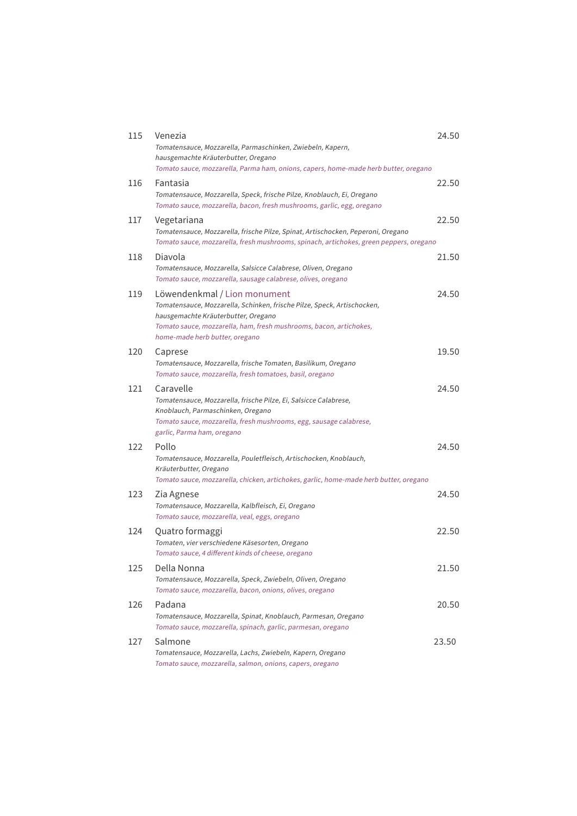| 115 | Venezia<br>Tomatensauce, Mozzarella, Parmaschinken, Zwiebeln, Kapern,<br>hausgemachte Kräuterbutter, Oregano<br>Tomato sauce, mozzarella, Parma ham, onions, capers, home-made herb butter, oregano                                                    | 24.50 |
|-----|--------------------------------------------------------------------------------------------------------------------------------------------------------------------------------------------------------------------------------------------------------|-------|
| 116 | Fantasia<br>Tomatensauce, Mozzarella, Speck, frische Pilze, Knoblauch, Ei, Oregano<br>Tomato sauce, mozzarella, bacon, fresh mushrooms, garlic, egg, oregano                                                                                           | 22.50 |
| 117 | Vegetariana<br>Tomatensauce, Mozzarella, frische Pilze, Spinat, Artischocken, Peperoni, Oregano<br>Tomato sauce, mozzarella, fresh mushrooms, spinach, artichokes, green peppers, oregano                                                              | 22.50 |
| 118 | Diavola<br>Tomatensauce, Mozzarella, Salsicce Calabrese, Oliven, Oregano<br>Tomato sauce, mozzarella, sausage calabrese, olives, oregano                                                                                                               | 21.50 |
| 119 | Löwendenkmal / Lion monument<br>Tomatensauce, Mozzarella, Schinken, frische Pilze, Speck, Artischocken,<br>hausgemachte Kräuterbutter, Oregano<br>Tomato sauce, mozzarella, ham, fresh mushrooms, bacon, artichokes,<br>home-made herb butter, oregano | 24.50 |
| 120 | Caprese<br>Tomatensauce, Mozzarella, frische Tomaten, Basilikum, Oregano<br>Tomato sauce, mozzarella, fresh tomatoes, basil, oregano                                                                                                                   | 19.50 |
| 121 | Caravelle<br>Tomatensauce, Mozzarella, frische Pilze, Ei, Salsicce Calabrese,<br>Knoblauch, Parmaschinken, Oregano<br>Tomato sauce, mozzarella, fresh mushrooms, egg, sausage calabrese,<br>garlic, Parma ham, oregano                                 | 24.50 |
| 122 | Pollo<br>Tomatensauce, Mozzarella, Pouletfleisch, Artischocken, Knoblauch,<br>Kräuterbutter, Oregano<br>Tomato sauce, mozzarella, chicken, artichokes, garlic, home-made herb butter, oregano                                                          | 24.50 |
| 123 | Zia Agnese<br>Tomatensauce, Mozzarella, Kalbfleisch, Ei, Oregano<br>Tomato sauce, mozzarella, veal, eggs, oregano                                                                                                                                      | 24.50 |
| 124 | Quatro formaggi<br>Tomaten, vier verschiedene Käsesorten, Oregano<br>Tomato sauce, 4 different kinds of cheese, oregano                                                                                                                                | 22.50 |
| 125 | Della Nonna<br>Tomatensauce, Mozzarella, Speck, Zwiebeln, Oliven, Oregano<br>Tomato sauce, mozzarella, bacon, onions, olives, oregano                                                                                                                  | 21.50 |
| 126 | Padana<br>Tomatensauce, Mozzarella, Spinat, Knoblauch, Parmesan, Oregano<br>Tomato sauce, mozzarella, spinach, garlic, parmesan, oregano                                                                                                               | 20.50 |
| 127 | Salmone<br>Tomatensauce, Mozzarella, Lachs, Zwiebeln, Kapern, Oregano<br>Tomato sauce, mozzarella, salmon, onions, capers, oregano                                                                                                                     | 23.50 |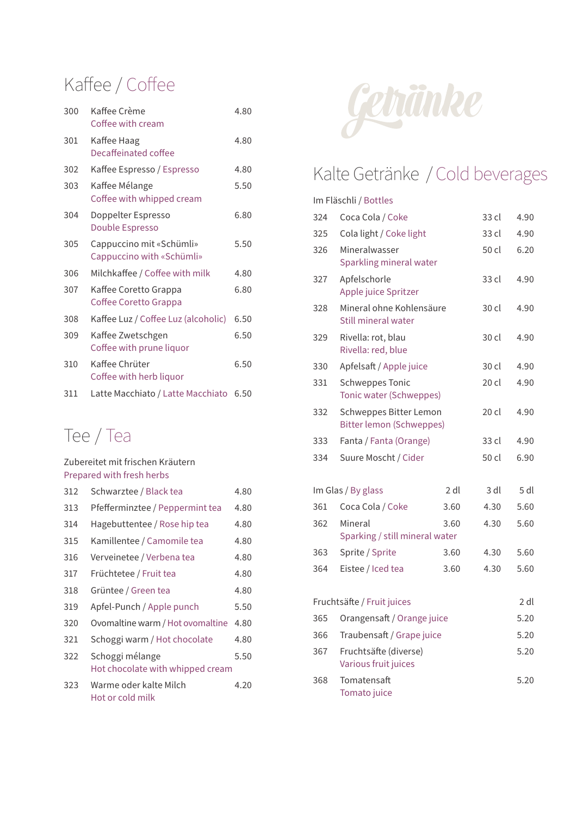## Kaffee / Coffee

| 300 | Kaffee Crème<br>Coffee with cream                     | 4.80 |
|-----|-------------------------------------------------------|------|
| 301 | Kaffee Haag<br>Decaffeinated coffee                   | 4.80 |
| 302 | Kaffee Espresso / Espresso                            | 4.80 |
| 303 | Kaffee Mélange<br>Coffee with whipped cream           | 5.50 |
| 304 | Doppelter Espresso<br>Double Espresso                 | 6.80 |
| 305 | Cappuccino mit «Schümli»<br>Cappuccino with «Schümli» | 5.50 |
| 306 | Milchkaffee / Coffee with milk                        | 4.80 |
| 307 | Kaffee Coretto Grappa<br>Coffee Coretto Grappa        | 6.80 |
| 308 | Kaffee Luz / Coffee Luz (alcoholic)                   | 6.50 |
| 309 | Kaffee Zwetschgen<br>Coffee with prune liquor         | 6.50 |
| 310 | Kaffee Chrüter<br>Coffee with herb liquor             | 6.50 |
| 311 | Latte Macchiato / Latte Macchiato                     | 6.50 |

#### Tee / Tea

#### Zubereitet mit frischen Kräutern Prepared with fresh herbs 312 Schwarztee / Black tea 4.80 313 Pfefferminztee / Peppermint tea 4.80 314 Hagebuttentee / Rose hip tea 4.80 315 Kamillentee / Camomile tea 4.80 316 Verveinetee / Verbena tea 4.80 317 Früchtetee / Fruit tea 4.80 318 Grüntee / Green tea 4.80 319 Apfel-Punch / Apple punch 5.50 320 Ovomaltine warm / Hot ovomaltine 4.80 321 Schoggi warm / Hot chocolate 4.80 322 Schoggi mélange 5.50 Hot chocolate with whipped cream 323 Warme oder kalte Milch 4.20 Hot or cold milk



### Kalte Getränke / Cold beverages

#### Im Fläschli / Bottles

| 324                        | Coca Cola / Coke                                          |      | 33 cl | 4.90   |
|----------------------------|-----------------------------------------------------------|------|-------|--------|
| 325                        | Cola light / Coke light                                   |      | 33 cl | 4.90   |
| 326                        | Mineralwasser<br>Sparkling mineral water                  |      | 50 cl | 6.20   |
| 327                        | Apfelschorle<br>Apple juice Spritzer                      |      | 33 cl | 4.90   |
| 328                        | Mineral ohne Kohlensäure<br>Still mineral water           |      | 30 cl | 4.90   |
| 329                        | Rivella: rot, blau<br>Rivella: red, blue                  |      | 30 cl | 4.90   |
| 330                        | Apfelsaft / Apple juice                                   |      | 30 cl | 4.90   |
| 331                        | <b>Schweppes Tonic</b><br>Tonic water (Schweppes)         |      | 20 cl | 4.90   |
| 332                        | Schweppes Bitter Lemon<br><b>Bitter lemon (Schweppes)</b> |      | 20 cl | 4.90   |
| 333                        | Fanta / Fanta (Orange)                                    |      | 33 cl | 4.90   |
| 334                        | Suure Moscht / Cider                                      |      | 50 cl | 6.90   |
|                            | Im Glas / By glass                                        | 2 dl | 3 dl  | 5 dl   |
| 361                        | Coca Cola / Coke                                          | 3.60 | 4.30  | 5.60   |
| 362                        | Mineral<br>Sparking / still mineral water                 | 3.60 | 4.30  | 5.60   |
| 363                        | Sprite / Sprite                                           | 3.60 | 4.30  | 5.60   |
| 364                        | Eistee / Iced tea                                         | 3.60 | 4.30  | 5.60   |
| Fruchtsäfte / Fruit juices |                                                           |      |       | $2$ dl |
| 365                        | Orangensaft / Orange juice                                |      |       | 5.20   |
| 366                        | Traubensaft / Grape juice                                 |      |       | 5.20   |
| 367                        | Fruchtsäfte (diverse)<br>Various fruit juices             |      |       | 5.20   |
| 368                        | Tomatensaft<br>Tomato juice                               |      |       | 5.20   |